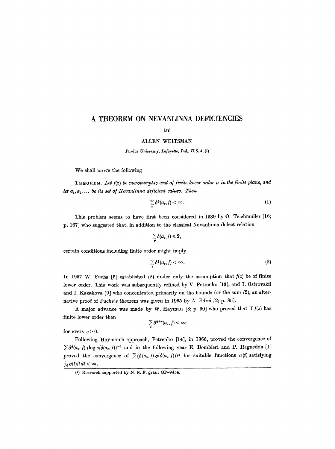# **A THEOREM ON NEVANLINNA DEFICIENCIES**

## BY

#### ALLEN WEITSMAN

*Purdue University, Lafayette, Ind., U.S.A.* (1)

We shall prove the following

**THEOREM.** Let  $f(z)$  be meromorphic and of finite lower order  $\mu$  in the finite plane, and *let*  $a_1, a_2, \ldots$  *be its set of Nevanlinna deficient values. Then* 

$$
\sum_{\nu} \delta^{\frac{1}{2}}(a_{\nu},f) < \infty.
$$
 (1)

This problem seems to have first been considered in 1939 by O. Teichmüller [16; p. 167] who suggested that, in addition to the classical Nevanlinna defect relation

$$
\sum_{\nu} \delta(a_{\nu},f) \leq 2,
$$

certain conditions including finite order might imply

$$
\sum_{\bullet} \delta^{\frac{1}{2}}(a_{\flat},f) < \infty.
$$
 (2)

In 1957 W. Fuchs [5] established (2) under only the assumption that  $f(z)$  be of finite lower order. This work was subsequently refined by V. Petrenko [13j, and L Ostrovskii and I. Kazakova [9] who concentrated primarily on the bounds for the sum (2); an alternative proof of Fuehs's theorem was given in 1965 by A. Edrei [2; p. 85J.

A major advance was made by W. Hayman  $[8; p. 90]$  who proved that if  $f(z)$  has finite lower order then

$$
\sum_{\nu} \delta^{\frac{1}{3}+s}(a_{\nu},f)<\infty
$$

for every  $\varepsilon > 0$ .

Following Hayman's approach, Petrenko [14], in 1966, proved the convergence of  $\sum \delta^{\frac{1}{2}}(a_{\nu},f)$  (log e/ $\delta(a_{\nu},f)$ )<sup>-1</sup> and in the following year **E**. Bombieri and **P.** Ragnedda [1] proved the convergence of  $\sum (\delta(a_v, f) \sigma(\delta(a_v, f)))^{\frac{1}{3}}$  for suitable functions  $\sigma(t)$  satisfying  $\int_0^{\infty} \sigma(t)/t \, dt < \infty$ .

 $(1)$  Research supported by N. S. F. grant GP-9454.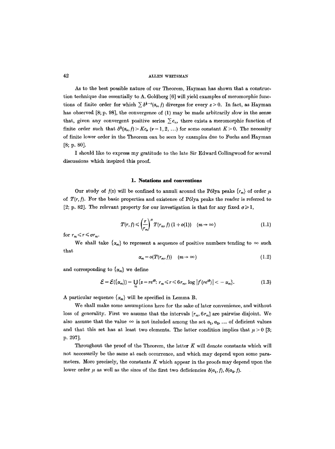As to the best possible nature of our Theorem, Hayman has shown that a construction technique due essentially to A. Goldberg [6] will yield examples of meromorphie functions of finite order for which  $\sum \delta^{1-\epsilon}(a_r,f)$  diverges for every  $\epsilon > 0$ . In fact, as Hayman has observed [8; p. 98], the convergence of (1) may be made arbitrarily slow in the sense that, given any convergent positive series  $\sum c_n$ , there exists a meromorphic function of finite order such that  $\delta^{\dagger}(a_r, f) > Kc_r$   $(\nu = 1, 2, ...)$  for some constant  $K > 0$ . The necessity of finite lower order in the Theorem can be seen by examples due to Fuehs and Hayman [8; p. 80].

I should like to express my gratitude to the late Sir Edward Collingwood for several discussions which inspired this proof.

#### **1. Notations and conventions**

Our study of  $f(z)$  will be confined to annuli around the Pólya peaks  $\{r_m\}$  of order  $\mu$ of *T(r, ]).* For the basic properties and existence of P61ya peaks the reader is referred to [2; p. 82]. The relevant property for our investigation is that for any fixed  $\sigma \geq 1$ ,

$$
T(r, f) \leqslant \left(\frac{r}{r_m}\right)^{\mu} T(r_m, f) \left(1 + o(1)\right) \quad (m \to \infty) \tag{1.1}
$$

for  $r_m \leq r \leq \sigma r_m$ .

We shall take  $\{\alpha_m\}$  to represent a sequence of positive numbers tending to  $\infty$  such that

$$
\alpha_m = o(T(r_m, f)) \quad (m \to \infty) \tag{1.2}
$$

and corresponding to  $\{\alpha_m\}$  we define

$$
\mathcal{E} = \mathcal{E}(\{\alpha_m\}) = \bigcup_m \{z = re^{i\theta}: r_m \leq r \leq 6r_m, \log |f'(re^{i\theta})| < -\alpha_m\}. \tag{1.3}
$$

A particular sequence  $\{\alpha_m\}$  will be specified in Lemma B.

We shall make some assumptions here for the sake of later convenience, and without loss of generality. First we assume that the intervals  $[r_m, 6r_m]$  are pairwise disjoint. We also assume that the value  $\infty$  is not included among the set  $a_1, a_2, \ldots$  of deficient values and that this set has at least two elements. The latter condition implies that  $\mu > 0$  [3; p. 297].

Throughout the proof of the Theorem, the letter  $K$  will denote constants which will not necessarily be the same at each occurrence, and which may depend upon some parameters. More precisely, the constants  $K$  which appear in the proofs may depend upon the lower order  $\mu$  as well as the sizes of the first two deficiencies  $\delta(a_1, f)$ ,  $\delta(a_2, f)$ .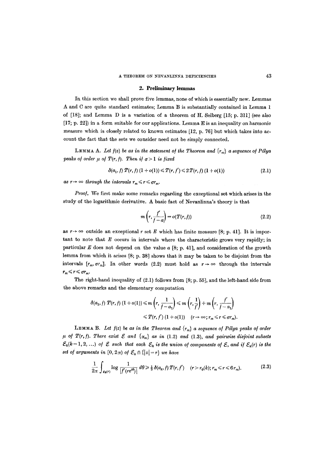#### 2. Preliminary lemmas

In this section we shall prove five lemmas, none of which is essentially new. Lemmas A and C are quite standard estimates; Lemma B is substantially contained in Lemma 1 of  $[18]$ ; and Lemma D is a variation of a theorem of H. Selberg  $[15; p. 311]$  (see also [17; p. 22]) in a form suitable for our applications. Lemma E is an inequality on harmonic measure which is closely related to known estimates [12, p. 76] but which takes into account the fact that the sets we consider need not be simply connected.

LEMMA A. Let  $f(z)$  be as in the statement of the Theorem and  $\{r_m\}$  a sequence of Pólya *peaks of order*  $\mu$  *of*  $T(r, f)$ *. Then if*  $\sigma > 1$  *is fixed* 

$$
\delta(a_1, f) T(r, f) (1 + o(1)) \leq T(r, f') \leq 2 T(r, f) (1 + o(1)) \tag{2.1}
$$

as  $r \rightarrow \infty$  through the intervals  $r_m \leq r \leq \sigma r_m$ .

*Proo].* We first make some remarks regarding the exceptional set which arises in the study of the logarithmic derivative. A basic fact of Nevanlinna's theory is that

$$
m\left(r,\frac{f'}{f-a}\right) = o(T(r,f))\tag{2.2}
$$

as  $r \rightarrow \infty$  outside an exceptional r set E which has finite measure [8; p. 41]. It is important to note that  $E$  occurs in intervals where the characteristic grows very rapidly; in particular E does not depend on the value  $a \, [8; p. 41]$ , and consideration of the growth 1emma from which it arises [8; p. 38] shows that it may be taken to be disjoint from the intervals  $[r_m, \sigma r_m]$ . In other words (2.2) must hold as  $r \to \infty$  through the intervals  $r_m \leq r \leq \sigma r_m$ .

The right-hand inequality of (2.1) follows from [8; p. 55], and the left-hand side from the above remarks and the elementary computation

$$
\delta(a_1, f) T(r, f) (1+o(1)) \leq m \left(r, \frac{1}{f-a_1}\right) \leq m \left(r, \frac{1}{f}\right) + m \left(r, \frac{f'}{f-a_1}\right)
$$
  

$$
\leq T(r, f') (1+o(1)) \quad (r \to \infty; r_m \leq r \leq \sigma r_m).
$$

**LEMMA** B. Let  $f(z)$  be as in the Theorem and  $\{r_m\}$  a sequence of Pólya peaks of order  $\mu$  of  $T(r, f)$ . There exist  $\mathcal E$  and  $\{\alpha_m\}$  as in (1.2) and (1.3), and pairwise disjoint subsets  $\mathcal{E}_k(k=1, 2, ...)$  of  $\mathcal E$  such that each  $\mathcal E_k$  is the union of components of  $\mathcal E$ , and if  $\mathcal E_k(r)$  is the *set of arguments in*  $[0, 2\pi)$  of  $\mathcal{E}_k \cap \{|z| = r\}$  *we have* 

$$
\frac{1}{2\pi} \int_{\varepsilon_{\mathbf{k}}(r)} \log \frac{1}{|f'(re^{i\theta})|} d\theta \ge \frac{1}{3} \delta(a_k, f) T(r, f') \quad (r > r_0(k); r_m \le r \le 6 r_m). \tag{2.3}
$$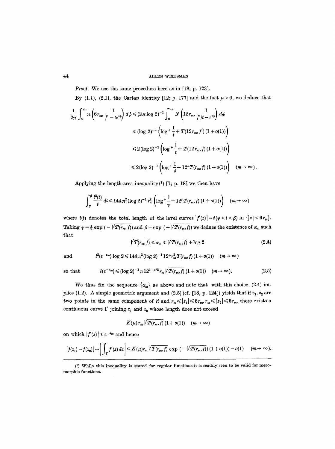*Proof.* We use the same procedure here as in [18; p. 123].

By (1.1), (2.1), the Cartan identity [12; p. 177] and the fact  $\mu > 0$ , we deduce that

$$
\frac{1}{2\pi} \int_0^{2\pi} n \left( 6r_m, \frac{1}{f'-te^{i\phi}} \right) d\phi \le (2\pi \log 2)^{-1} \int_0^{2\pi} N \left( 12r_m, \frac{1}{f'/t-e^{i\phi}} \right) d\phi
$$
  

$$
\le (\log 2)^{-1} \left( \log^+ \frac{1}{t} + T(12r_m, f')(1+o(1)) \right)
$$
  

$$
\le 2(\log 2)^{-1} \left( \log^+ \frac{1}{t} + T(12r_m, f)(1+o(1)) \right)
$$
  

$$
\le 2(\log 2)^{-1} \left( \log^+ \frac{1}{t} + 12^{\mu} T(r_m, f)(1+o(1)) \right) \quad (m \to \infty).
$$

Applying the length-area inequality $(1)$  [7; p. 18] we then have

$$
\int_{\gamma}^{\beta} \frac{l^2(t)}{t} \, dt \le 144 \, \pi^2 (\log 2)^{-1} \, r_m^2 \left( \log^+ \frac{1}{\gamma} + 12^{\mu} T(r_m, f) \left( 1 + o(1) \right) \right) \quad (m \to \infty)
$$

where  $l(t)$  denotes the total length of the level curves  $|f'(z)| = t(\gamma < t < \beta)$  in  $\{|z| < 6r_m\}.$ Taking  $\gamma = \frac{1}{2} \exp \left( - \sqrt{T(r_m, f)} \right)$  and  $\beta = \exp \left( - \sqrt{T(r_m, f)} \right)$  we deduce the existence of  $\alpha_m$  such that

$$
\sqrt{T(r_m, f)} \leq \alpha_m \leq \sqrt{T(r_m, f)} + \log 2 \tag{2.4}
$$

and 
$$
l^2(e^{-\alpha_m}) \log 2 \leq 144 \pi^2 (\log 2)^{-1} 12^{\mu} r_m^2 T(r_m, f) (1 + o(1)) \quad (m \to \infty)
$$

so that  $l(e^{-\alpha_m}) \leq (\log 2)^{-1} \pi 12^{1+\mu/2} r_m \sqrt{T(r_m, f)} (1 + o(1)) \quad (m \to \infty).$  (2.5)

We thus fix the sequence  $\{\alpha_m\}$  as above and note that with this choice, (2.4) implies (1.2). A simple geometric argument and (2.5) (cf. [18, p. 124]) yields that if  $z_1, z_2$  are two points in the same component of  $\mathcal E$  and  $r_m \leqslant |z_1| \leqslant 6r_m, r_m \leqslant |z_2| \leqslant 6r_m$ , there exists a continuous curve  $\Gamma$  joining  $z_1$  and  $z_2$  whose length does not exceed

$$
K(\mu) r_m \sqrt{T(r_m, f)} (1 + o(1)) \quad (m \to \infty)
$$

on which  $|f'(z)| \leq e^{-\alpha_m}$  and hence

$$
\left|f(z_1)-f(z_2)\right|=\left|\int_{\Gamma}f'(z)\,dz\right|\leqslant K(\mu)r_m\sqrt{T(r_m,f)}\,\exp\,\left(-\sqrt{T(r_m,f)}\right)(1+o(1))=o(1)\quad(m\to\infty).
$$

<sup>(1)</sup> While this inequality is stated for regular functions it is readily seen to be valid for mero. morphic functions.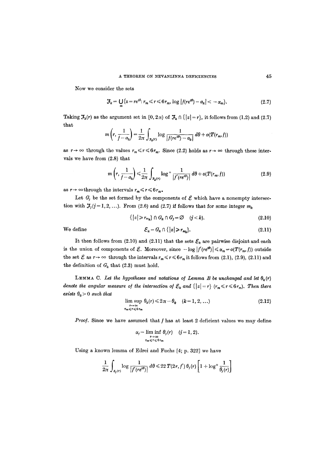Now we consider the sets

$$
\mathcal{J}_k = \bigcup_m \{z = re^{i\theta}: r_m \leq r \leq 6r_m, \log |f(re^{i\theta}) - a_k| < -\alpha_m\}.\tag{2.7}
$$

Taking  $\mathcal{F}_k(r)$  as the argument set in  $[0, 2\pi)$  of  $\mathcal{F}_k \cap \{ |z| = r \}$ , it follows from (1.2) and (2.7) that

$$
m\left(r,\frac{1}{f-a_k}\right)=\frac{1}{2\pi}\int_{\sigma_k(r)}\log\frac{1}{|f(re^{i\theta})-a_k|}\,d\theta+o(T(r_m,f))
$$

as  $r \to \infty$  through the values  $r_m \le r \le 6r_m$ . Since (2.2) holds as  $r \to \infty$  through these intervals we have from (2.8) that

$$
m\left(r,\frac{1}{f-a_k}\right) \leq \frac{1}{2\pi} \int_{\mathfrak{x}_k(r)} \log^+ \frac{1}{|f'(re^{i\theta})|} d\theta + o(T(r_m, f)) \tag{2.9}
$$

as  $r \to \infty$  through the intervals  $r_m \le r \le 6r_m$ .

Let  $G_j$  be the set formed by the components of  $\mathcal E$  which have a nonempty intersection with  $J_j$  ( $j = 1, 2, ...$ ). From (2.6) and (2.7) if follows that for some integer  $m_k$ 

 $\{|z| \geq r_{m_k}\}\cap G_k \cap G_j = \varnothing$   $(j < k).$  (2.10)

We define 
$$
\mathcal{E}_k = G_k \cap \{|z| \geq r_{m_k}\}.
$$
 (2.11)

It then follows from (2.10) and (2.11) that the sets  $\mathcal{E}_k$  are pairwise disjoint and each is the union of components of  $\mathcal E$ . Moreover, since  $-\log |f'(re^{i\theta})| \leq \alpha_m = o(T(r_m, f))$  outside the set  $\mathcal E$  as  $r \to \infty$  through the intervals  $r_m \le r \le 6r_m$  it follows from (2.1), (2.9), (2.11) and the definition of  $G_k$  that (2.3) must hold.

LEMMA C. Let the hypotheses and notations of Lemma B be unchanged and let  $\theta_k(r)$ *denote the angular measure of the intersection of*  $\mathcal{E}_k$  and  $\{|z|=r\}$   $(r_m \leq r \leq 6r_m)$ . Then there *exists*  $\theta_0 > 0$  *such that* 

$$
\lim_{\substack{r \to \infty \\ r_m \le r \le 6r_m}} \theta_k(r) \le 2\pi - \theta_0 \quad (k = 1, 2, \ldots)
$$
\n(2.12)

*Proof.* Since we have assumed that f has at least 2 deficient values we may define

$$
\alpha_j=\liminf_{\substack{r\to\infty\\r_m\leq r\leq 6\,r_m}}\theta_j(r)\quad (j=1,2).
$$

Using a known lemma of Edrei and Fuchs [4; p. 322] we have

$$
\frac{1}{2\pi}\int_{\varepsilon_j(r)}\log\frac{1}{|f'(re^{i\theta})|}\,d\theta\leq 22\,T(2\,r,f')\,\theta_j(r)\left[1+\log^+\frac{1}{\theta_j(r)}\right]
$$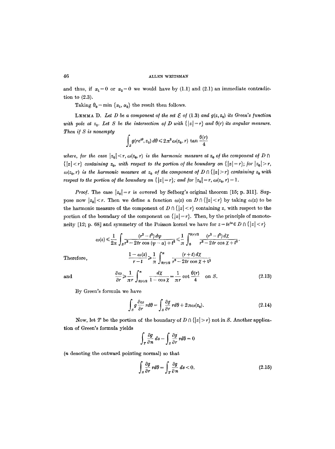and thus, if  $\alpha_1=0$  or  $\alpha_2=0$  we would have by (1.1) and (2.1) an immediate contradiction to (2.3).

Taking  $\theta_0 = \min \{\alpha_1, \alpha_2\}$  the result then follows.

LEMMA D. Let D be a component of the set  $\mathcal E$  of (1.3) and  $g(z, z_0)$  its Green's function with pole at  $z_0$ . Let S be the intersection of D with  $\{|z|=r\}$  and  $\theta(r)$  its angular measure. *Then if S* is nonempty

$$
\int_{S} g(re^{i\theta}, z_0) d\theta \leq 2\pi^2 \omega(z_0, r) \tan \frac{\theta(r)}{4}
$$

*where, for the case*  $|z_0| < r$ ,  $\omega(z_0, r)$  *is the harmonic measure at*  $z_0$  *of the component of*  $D \cap$  $\{|z| < r\}$  containing  $z_0$ , with respect to the portion of the boundary on  $\{|z| = r\}$ ; for  $|z_0| > r$ ,  $\omega(z_0, r)$  is the harmonic measure at  $z_0$  of the component of  $D \cap \{ |z| > r \}$  containing  $z_0$  with *respect to the portion of the boundary on*  $\{|z|=r\}$ *; and for*  $|z_0|=r$ ,  $\omega(z_0, r)=1$ .

*Proof.* The case  $|z_0|=r$  is covered by Selberg's original theorem [15; p. 311]. Suppose now  $|z_0| < r$ . Then we define a function  $\omega(z)$  on  $D \cap \{|z| < r\}$  by taking  $\omega(z)$  to be the harmonic measure of the component of  $D \cap \{ |z| < r \}$  containing z, with respect to the portion of the boundary of the component on  $\{|z|=r\}$ . Then, by the principle of monotoneity [12; p. 68] and symmetry of the Poisson kernel we have for  $z = te^{i\alpha} \in D \cap \{|z| < r\}$ 

$$
\omega(z) \leq \frac{1}{2\pi} \int_S \frac{(r^2 - t^2) d\psi}{r^2 - 2tr \cos{(\psi - \alpha)} + t^2} \leq \frac{1}{\pi} \int_0^{\theta(r)/2} \frac{(r^2 - t^2) d\chi}{r^2 - 2tr \cos{\chi} + t^2}.
$$
  
Therefore,  

$$
\frac{1 - \omega(z)}{r - t} \geq \frac{1}{\pi} \int_{\theta(r)/2}^{\pi} \frac{(r + t) d\chi}{r^2 - 2tr \cos{\chi} + t^2}
$$

and 
$$
\frac{\partial \omega}{\partial r} \ge \frac{1}{\pi r} \int_{\theta(r)/2}^{\pi} \frac{d\chi}{1 - \cos \chi} = \frac{1}{\pi r} \cot \frac{\theta(r)}{4} \text{ on } S. \tag{2.13}
$$

By Green's formula we have

$$
\int_{S} g \frac{\partial \omega}{\partial r} r d\theta = \int_{S} \frac{\partial g}{\partial r} r d\theta + 2 \pi \omega(z_0).
$$
 (2.14)

Now, let T be the portion of the boundary of  $D \cap \{ |z| > r \}$  not in S. Another application of Green's formula yields

$$
\int_{T} \frac{\partial g}{\partial n} ds - \int_{S} \frac{\partial g}{\partial r} rd\theta = 0
$$

(n denoting the outward pointing normal) so that

$$
\int_{S} \frac{\partial g}{\partial r} r d\theta = \int_{T} \frac{\partial g}{\partial n} ds < 0.
$$
\n(2.15)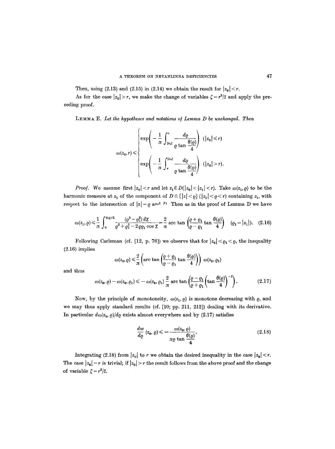Then, using (2.13) and (2.15) in (2.14) we obtain the result for  $|z_0| < r$ .

As for the case  $|z_0| > r$ , we make the change of variables  $\zeta = r^2/\overline{z}$  and apply the preceding proof.

LEMMA E. Let the hypotheses and notations of Lemma D be unchanged. Then

$$
\omega(z_0, r) \leq \begin{cases} \exp\left(-\frac{1}{\pi} \int_{|z_0|}^r \frac{d\varrho}{\varrho \tan \frac{\theta(\varrho)}{4}}\right) & (|z_0| \leq r) \\ \exp\left(-\frac{1}{\pi} \int_{r}^{|z_0|} \frac{d\varrho}{\varrho \tan \frac{\theta(\varrho)}{4}}\right) & (|z_0| > r). \end{cases}
$$

*Proof.* We assume first  $|z_0| < r$  and let  $z_1 \in D(|z_0| < |z_1| < r)$ . Take  $\omega(z_1, \varrho)$  to be the harmonic measure at  $z_1$  of the component of  $D \cap \{|z| < \varrho\}$  ( $|z_1| < \varrho < r$ ) containing  $z_1$ , with respect to the intersection of  $|z| = \rho$  and n Then as in the proof of Lemma D we have

$$
\omega(z_1,\varrho) \leq \frac{1}{\pi} \int_0^{\theta(\varrho)/2} \frac{(\varrho^2 - \varrho_1^2) \, d\chi}{\varrho^2 + \varrho_1^2 - 2 \varrho \varrho_1 \cos \chi} = \frac{2}{\pi} \arctan \left( \frac{\varrho + \varrho_1}{\varrho - \varrho_1} \tan \frac{\theta(\varrho)}{4} \right) \quad (\varrho_1 = |z_1|). \tag{2.16}
$$

Following Carleman (cf. [12, p. 76]) we observe that for  $|z_0| < \rho_1 < \rho$ , the inequality (2.16) implies

$$
\omega(z_0, \varrho) \leq \frac{2}{\pi} \left( \arctan \left( \frac{\varrho + \varrho_1}{\varrho - \varrho_1} \tan \frac{\theta(\varrho)}{4} \right) \right) \, \omega(z_0, \varrho_1)
$$

and thus

$$
\omega(z_0,\varrho)-\omega(z_0,\varrho_1)\leq -\omega(z_0,\varrho_1)\frac{2}{\pi}\arctan\left(\frac{\varrho-\varrho_1}{\varrho+\varrho_1}\left(\tan\frac{\theta(\varrho)}{4}\right)^{-1}\right). \hspace{1cm} (2.17)
$$

Now, by the principle of monotoneity,  $\omega(z_1, \varrho)$  is monotone decreasing with  $\varrho$ , and we may thus apply standard results (cf. [10; pp. 211, 212]) dealing with its derivative. In particular  $d\omega(z_0, \rho)/d\rho$  exists almost everywhere and by (2.17) satisfies

$$
\frac{dw}{d\varrho}\left(z_0,\varrho\right) \leq -\frac{\omega(z_0,\varrho)}{\pi\varrho\tan\frac{\theta(\varrho)}{4}}.\tag{2.18}
$$

Integrating (2.18) from  $|z_0|$  to r we obtain the desired inequality in the case  $|z_0| < r$ . The case  $|z_0| = r$  is trivial; if  $|z_0| > r$  the result follows from the above proof and the change of variable  $\zeta = r^2/\overline{z}$ .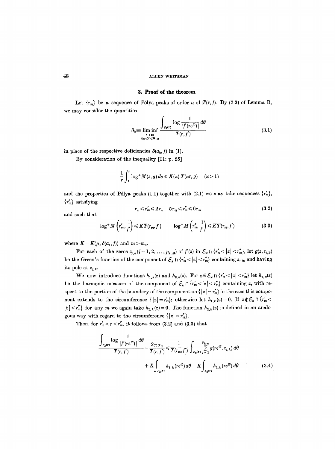### **3. Proof of the theorem**

Let  ${r_m}$  be a sequence of Pólya peaks of order  $\mu$  of  $T(r, f)$ . By (2.3) of Lemma B, we may consider the quantities

$$
\delta_k = \liminf_{\substack{r \to \infty \\ r_m \le r \le 6r_m}} \frac{\int_{\varepsilon_k(r)} \log \frac{1}{|f'(re^{i\theta})|} d\theta}{T(r, f')}
$$
(3.1)

in place of the respective deficiencies  $\delta(a_{k},f)$  in (1).

By consideration of the inequality [11; p. 25]

$$
\frac{1}{r}\int_1^r\log^+ M(s,g)\,ds\leqslant K(\varkappa)\;T(\varkappa r,g)\quad (\varkappa>1)
$$

and the properties of Pólya peaks (1.1) together with (2.1) we may take sequences  $\{r'_n\}$ ,  ${r''_m}$  satisfying

$$
r_m \leq r'_m \leq 2r_m \quad 5r_m \leq r''_m \leq 6r_m \tag{3.2}
$$

and such that

$$
\log^+ M\left(r'_m, \frac{1}{f'}\right) \le K T(r_m, f') \qquad \log^+ M\left(r''_m, \frac{1}{f'}\right) \le K T(r_m, f') \tag{3.3}
$$

where  $K = K(\mu, \delta(a_1, f))$  and  $m > m_0$ .

For each of the zeros  $z_{j,k}$  ( $j=1, 2, ..., p_{k,m}$ ) of  $f'(z)$  in  $\mathcal{E}_k \cap \{r'_m < |z| < r''_m\}$ , let  $g(z, z_{j,k})$ be the Green's function of the component of  $\mathcal{E}_k \cap {r'_m} < |z| < r''_m$  containing  $z_{j,k}$ , and having its pole at  $z_{i,k}$ .

We now introduce functions  $h_{1,k}(z)$  and  $h_{2,k}(z)$ . For  $z \in \mathcal{E}_k \cap \{r'_m \leq |z| < r''_m\}$  let  $h_{1,k}(z)$ be the harmonic measure of the component of  $\mathcal{E}_k \cap \{r'_m \leq |z| < r''_m\}$  containing z, with respect to the portion of the boundary of the component on  $\{|z| = r'_m\}$  in the case this component extends to the circumference  $\{|z|=r'_m\}$ ; otherwise let  $h_{1,k}(z)=0$ . If  $z \notin \mathcal{E}_k \cap \{r'_m \leq k \}$  $|z| < r_m^r$  for any m we again take  $h_{1,k}(z) = 0$ . The function  $h_{2,k}(z)$  is defined in an analogous way with regard to the circumference  $\{|z|= r_m^r\}.$ 

Then, for  $r'_m < r < r''_m$ , it follows from (3.2) and (3.3) that

$$
\frac{\int_{\varepsilon_{k}(r)} \log \frac{1}{|f'(re^{i\theta})|} d\theta}{T(r, f')} - \frac{2\pi \alpha_{m}}{T(r, f')} \leq \frac{1}{T(r_{m}, f')} \int_{\varepsilon_{k}(r)} \sum_{j=1}^{p_{k,m}} g(re^{i\theta}, z_{j,k}) d\theta
$$

$$
+ K \int_{\varepsilon_{k}(r)} h_{1,k}(re^{i\theta}) d\theta + K \int_{\varepsilon_{k}(r)} h_{2,k}(re^{i\theta}) d\theta \qquad (3.4)
$$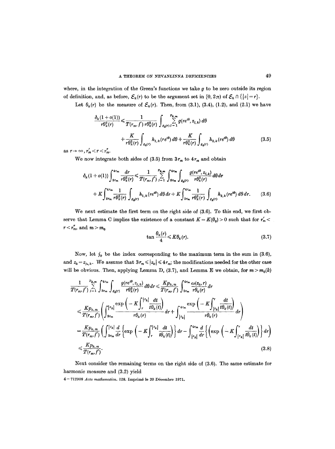where, in the integration of the Green's functions we take  $g$  to be zero outside its region of definition, and, as before,  $\mathcal{E}_k(r)$  to be the argument set in  $[0, 2\pi)$  of  $\mathcal{E}_k \cap \{|z| = r\}$ .

Let  $\theta_k(r)$  be the measure of  $\mathcal{E}_k(r)$ . Then, from (3.1), (3.4), (1.2), and (2.1) we have

$$
\frac{\delta_k(1+o(1))}{r\theta_k^2(r)} \leq \frac{1}{T(r_m, f')r\theta_k^2(r)} \int_{\varepsilon_k(r)} \sum_{j=1}^{p_{k,m}} g(re^{i\theta}, z_{j,k}) d\theta
$$

$$
+ \frac{K}{r\theta_k^2(r)} \int_{\varepsilon_k(r)} h_{1,k}(re^{i\theta}) d\theta + \frac{K}{r\theta_k^2(r)} \int_{\varepsilon_k(r)} h_{2,k}(re^{i\theta}) d\theta \qquad (3.5)
$$

 $\text{as } r \to \infty$ ,  $r'_m < r < r''_m$ .

We now integrate both sides of  $(3.5)$  from  $3r_m$  to  $4r_m$  and obtain

$$
\delta_{k}(1+o(1))\int_{3r_{m}}^{4r_{m}}\frac{dr}{r\theta_{k}^{2}(r)} \leq \frac{1}{T(r_{m},f')} \sum_{j=1}^{p_{k,m}} \int_{s_{m}}^{4r_{m}} \int_{\varepsilon_{k}(r)} \frac{g(re^{i\theta},z_{j,k})}{r\theta_{k}^{2}(r)} d\theta dr + K \int_{3r_{m}}^{4r_{m}} \frac{1}{r\theta_{k}^{2}(r)} \int_{\varepsilon_{k}(r)} h_{1,k}(re^{i\theta}) d\theta dr + K \int_{3r_{m}}^{4r_{m}} \frac{1}{r\theta_{k}^{2}(r)} \int_{\varepsilon_{k}(r)} h_{2,k}(re^{i\theta}) d\theta dr.
$$
 (3.6)

We next estimate the first term on the right side of (3.6). To this end, we first observe that Lemma C implies the existence of a constant  $K = K(\theta_0) > 0$  such that for  $r'_m$  $r < r''_m$ , and  $m > m_0$ 

$$
\tan \frac{\theta_k(r)}{4} \leq K \theta_k(r). \tag{3.7}
$$

Now, let  $j_0$  be the index corresponding to the maximum term in the sum in (3.6), and  $z_k = z_{j_0,k}$ . We assume that  $3r_m \leq |z_k| \leq 4r_m$ ; the modifications needed for the other case will be obvious. Then, applying Lemma D,  $(3.7)$ , and Lemma E we obtain, for  $m > m_0(k)$ 

$$
\frac{1}{T(r_m, f')} \sum_{j=1}^{p_{k,m}} \int_{3r_m}^{4r_m} \int_{\varepsilon_k(r)} \frac{g(re^{i\theta}, z_{j,k})}{r\theta_k^2(r)} d\theta dr \leq \frac{Kp_{k,m}}{T(r_m, f')} \int_{3r_m}^{4r_m} \frac{\omega(z_k, r)}{r\theta_k(r)} dr
$$
\n
$$
\leq \frac{Kp_{k,m}}{T(r_m, f')} \left( \int_{3r_m}^{z_{k}} \frac{\exp\left(-K \int_{r}^{z_{k}} \frac{dt}{t\theta_k(t)}\right)}{r\theta_k(r)} dr + \int_{z_{k}}^{4r_m} \frac{\exp\left(-K \int_{z_{k}}^{r} \frac{dt}{t\theta_k(t)}\right)}{r\theta_k(r)} dr \right)
$$
\n
$$
= \frac{Kp_{k,m}}{T(r_m, f')} \left( \int_{3r_m}^{z_{k}} \frac{d}{dr} \left\{ \exp\left(-K \int_{r}^{z_{k}} \frac{dt}{t\theta_k(t)}\right) \right\} dr - \int_{z_{k}}^{4r_m} \frac{d}{dr} \left\{ \left(\exp\left(-K \int_{z_{k}}^{r} \frac{dt}{t\theta_k(t)}\right) \right\} dr \right)
$$
\n
$$
\leq \frac{Kp_{k,m}}{T(r_m, f')}.
$$
\n(3.8)

Next consider the remaining terms on the right side of (3.6). The same estimate for harmonic measure and (3.2) yield

4-712908 Acta mathematica. 128. Imprimé le 20 Décembre 1971.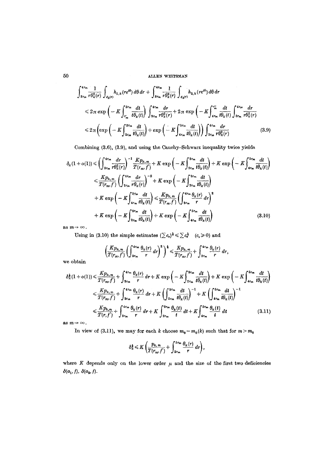## 50 ~T,~,EN ~EITSMAN

$$
\int_{3r_m}^{4r_m} \frac{1}{r \theta_k^2(r)} \int_{\varepsilon_k(r)} h_{1,k}(re^{i\theta}) d\theta dr + \int_{3r_m}^{4r_m} \frac{1}{r \theta_k^2(r)} \int_{\varepsilon_k(r)} h_{2,k}(re^{i\theta}) d\theta dr
$$
\n
$$
\leq 2\pi \exp\left(-K \int_{r_m}^{3r_m} \frac{dt}{t \theta_k(t)}\right) \int_{3r_m}^{4r_m} \frac{dr}{r \theta_k^2(r)} + 2\pi \exp\left(-K \int_{4r_m}^{r_m} \frac{dt}{t \theta_k(t)} \int_{3r_m}^{4r_m} \frac{dr}{r \theta_k^2(r)}\right)
$$
\n
$$
\leq 2\pi \left(\exp\left(-K \int_{2r_m}^{3r_m} \frac{dt}{t \theta_k(t)}\right) + \exp\left(-K \int_{4r_m}^{5r_m} \frac{dt}{t \theta_k(t)}\right)\right) \int_{3r_m}^{4r_m} \frac{dr}{r \theta_k^2(r)} \tag{3.9}
$$

Combining (3.6), (3.9), and using the Canchy-Schwarz inequality twice yields

$$
\delta_{k}(1+o(1)) \leq \left(\int_{3r_{m}}^{4r_{m}} \frac{dr}{r\theta_{k}^{2}(r)}\right)^{-1} \frac{Kp_{k,m}}{T(r_{m},f')} + K \exp\left(-K \int_{2r_{m}}^{3r_{m}} \frac{dt}{t\theta_{k}(t)}\right) + K \exp\left(-K \int_{4r_{m}}^{5r_{m}} \frac{dt}{t\theta_{k}(t)}\right)
$$
\n
$$
\leq \frac{Kp_{k,m}}{T(r_{m},f')} \left(\int_{3r_{m}}^{4r_{m}} \frac{dr}{r\theta_{k}(r)}\right)^{-2} + K \exp\left(-K \int_{2r_{m}}^{3r_{m}} \frac{dt}{t\theta_{k}(t)}\right)
$$
\n
$$
+ K \exp\left(-K \int_{4r_{m}}^{5r_{m}} \frac{dt}{t\theta_{k}(t)}\right) \leq \frac{Kp_{k,m}}{T(r_{m},f')} \left(\int_{3r_{m}}^{4r_{m}} \frac{\theta_{k}(r)}{r} dr\right)^{2}
$$
\n
$$
+ K \exp\left(-K \int_{2r_{m}}^{3r_{m}} \frac{dt}{t\theta_{k}(t)}\right) + K \exp\left(-K \int_{4r_{m}}^{5r_{m}} \frac{dt}{t\theta_{k}(t)}\right) \tag{3.10}
$$

as  $m \rightarrow \infty$ .

Using in (3.10) the simple estimates  $(\sum c_r)^{\frac{1}{2}} \leq \sum c_r^{\frac{1}{2}}$  ( $c_r \geq 0$ ) and

$$
\left(\frac{Kp_{k,m}}{T(r_m,f')}\left(\int_{3r_m}^{4r_m} \frac{\theta_k(r)}{r} dr\right)^2\right)^{\frac{1}{4}} \leq \frac{Kp_{k,m}}{T(r_m,f')} + \int_{3r_m}^{4r_m} \frac{\theta_k(r)}{r} dr,
$$

we obtain

$$
\delta_{k}^{\dagger}(1+o(1)) \leq \frac{Kp_{k,m}}{T(r_{m},f')} + \int_{3r_{m}}^{4r_{m}} \frac{\theta_{k}(r)}{r} dr + K \exp\left(-K \int_{2r_{m}}^{3r_{m}} \frac{dt}{t\theta_{k}(t)}\right) + K \exp\left(-K \int_{4r_{m}}^{5r_{m}} \frac{dt}{t\theta_{k}(t)}\right)
$$
  

$$
\leq \frac{Kp_{k,m}}{T(r_{m},f')} + \int_{3r_{m}}^{4r_{m}} \frac{\theta_{k}(r)}{r} dr + K \left(\int_{2r_{m}}^{3r_{m}} \frac{dt}{t\theta_{k}(t)}\right)^{-1} + K \left(\int_{4r_{m}}^{5r_{m}} \frac{dt}{t\theta_{k}(t)}\right)^{-1}
$$
  

$$
\leq \frac{Kp_{k,m}}{T(r,f')} + \int_{3r_{m}}^{4r_{m}} \frac{\theta_{k}(r)}{r} dr + K \int_{2r_{m}}^{3r_{m}} \frac{\theta_{k}(t)}{t} dt + K \int_{4r_{m}}^{5r_{m}} \frac{\theta_{k}(t)}{t} dt \qquad (3.11)
$$

as  $m \rightarrow \infty$ .

In view of (3.11), we may for each k choose  $m_0 = m_0(k)$  such that for  $m > m_0$ 

$$
\delta_k^{\frac{1}{2}} \leq K \left( \frac{p_{k,m}}{T(r_m, f')} + \int_{2r_m}^{5r_m} \frac{\theta_k(r)}{r} dr \right),
$$

where  $K$  depends only on the lower order  $\mu$  and the size of the first two deficiencies  $\delta(a_1, f), \delta(a_2, f).$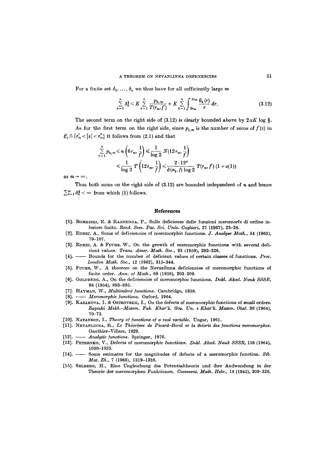For a finite set  $\delta_1, \ldots, \delta_n$  we thus have for all sufficiently large m

$$
\sum_{k=1}^n \delta_k^{\frac{1}{3}} \leq K \sum_{k=1}^n \frac{p_{k,m}}{T(r_m, f')} + K \sum_{k=1}^n \int_{2r_m}^{5r_m} \frac{\theta_k(r)}{r} dr.
$$
 (3.12)

The second term on the right side of (3.12) is clearly bounded above by  $2\pi K \log \frac{5}{2}$ . As for the first term on the right side, since  $p_{j,m}$  is the number of zeros of  $f'(z)$  in

 $\mathcal{E}_j \cap \{r'_m < |z| < r''_m\}$  it follows from (2.1) and that

$$
\sum_{k=1}^{n} p_{k,m} \leq n \left( 6r_m, \frac{1}{f'} \right) \leq \frac{1}{\log 2} N(12r_m, \frac{1}{f'})
$$
\n
$$
\leq \frac{1}{\log 2} T \left( 12r_m, \frac{1}{f'} \right) \leq \frac{2 \cdot 12^n}{\delta(a_1, f) \log 2} T(r_m, f') (1 + o(1))
$$

as  $m \rightarrow \infty$ .

Thus both sums on the right side of  $(3.12)$  are bounded independent of n and hence  $\sum_{k=1}^{\infty} \delta_k^{\frac{1}{2}} < \infty$  from which (1) follows.

#### **References**

- [1]. BOMBIERI, E. & RAGNEDDA, P., Sulle deficienze delle funzioni meromorfe di ordine inferiore finito. *Rend. Sem. Fac. Sci. Univ. Cagliari*, 37 (1967), 23-38.
- [2]. ~]DREI, A., Sums of deficiencies of meromorphie functions. *J. Analyse Math.,* 14 (1965), 79-107.
- [3]. EDREI, A. & FUCHS, W., On the growth of meromorphic functions with several deficient values. *Trans. Amer. Math. Soc.,* 93 (1959), 292-328.
- [4]. Bounds for the number of deficient values of certain classes of functions. *Proc. London Math. Soc.,* 12 (1962), 315-344.
- [5]. FUCHS, W., A theorem on the Nevanlinna deficiencies of meromorphic functions of finite order. *Ann. of Math.,* 68 (1958), 203-209.
- [6]. GOLDBERG, A., On the deficiencies of meromorphic functions. *Dokl. Akad. Nauk SSSR*, 98 (1954), 893-895.
- [7]. HAYMAN, W., *Multivalent functions*. Cambridge, 1958.
- [8]. *Meromorphlc functions.* Oxford, 1964.
- [9]. KAZAXOVA, X. & 0STaOVSKII, I., On the defects of meromorphie functions of small orders. *Zapiski Mekh.-Matem. Fak. Khar'k. Gos. Un. i Khar'k. Matem. Obs6.* 30 (1964), 70-73.
- [10]. NATANSON, I., *Theory of functions of a real variable.* Ungar, 1961.
- [11]. NEVANLINNA, R., Le Théorème de Picard-Borel et la théorie des fonctions meromorphes. Gauthier-Villars, 1929.
- [12]. *Analytic functions.* Springer, 1970.
- [13]. PETRENKO, V., Defects of meromorphic functions. *Dokl. Akad. Nauk SSSR*, 158 (1964), 1030-1033.
- [14].  $\longrightarrow$  Some estimates for the magnitudes of defects of a meromorphic function. Sib. *Mat. Zh.,* 7 (1966), 1319-1336.
- [15]. SELBERG, H., Eine Ungleichung des Potentialtheorio und ihre Andwendung in der Theorie der meromorphen Funktionen. *Comment. Math. Helv.,* 18 (1945), 309-326.